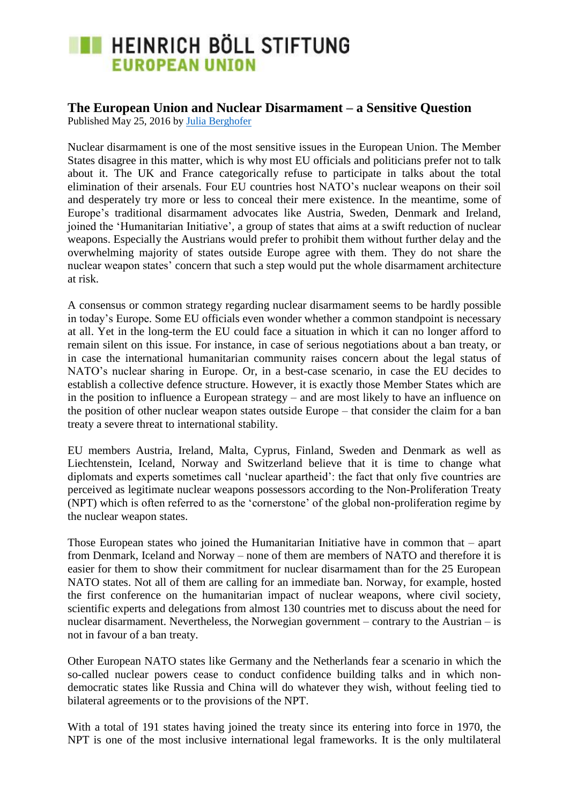### **The European Union and Nuclear Disarmament – a Sensitive Question**

Published May 25, 2016 by [Julia Berghofer](https://eu.boell.org/en/person/julia-berghofer)

Nuclear disarmament is one of the most sensitive issues in the European Union. The Member States disagree in this matter, which is why most EU officials and politicians prefer not to talk about it. The UK and France categorically refuse to participate in talks about the total elimination of their arsenals. Four EU countries host NATO"s nuclear weapons on their soil and desperately try more or less to conceal their mere existence. In the meantime, some of Europe"s traditional disarmament advocates like Austria, Sweden, Denmark and Ireland, joined the "Humanitarian Initiative", a group of states that aims at a swift reduction of nuclear weapons. Especially the Austrians would prefer to prohibit them without further delay and the overwhelming majority of states outside Europe agree with them. They do not share the nuclear weapon states" concern that such a step would put the whole disarmament architecture at risk.

A consensus or common strategy regarding nuclear disarmament seems to be hardly possible in today"s Europe. Some EU officials even wonder whether a common standpoint is necessary at all. Yet in the long-term the EU could face a situation in which it can no longer afford to remain silent on this issue. For instance, in case of serious negotiations about a ban treaty, or in case the international humanitarian community raises concern about the legal status of NATO"s nuclear sharing in Europe. Or, in a best-case scenario, in case the EU decides to establish a collective defence structure. However, it is exactly those Member States which are in the position to influence a European strategy – and are most likely to have an influence on the position of other nuclear weapon states outside Europe – that consider the claim for a ban treaty a severe threat to international stability.

EU members Austria, Ireland, Malta, Cyprus, Finland, Sweden and Denmark as well as Liechtenstein, Iceland, Norway and Switzerland believe that it is time to change what diplomats and experts sometimes call "nuclear apartheid": the fact that only five countries are perceived as legitimate nuclear weapons possessors according to the Non-Proliferation Treaty (NPT) which is often referred to as the "cornerstone" of the global non-proliferation regime by the nuclear weapon states.

Those European states who joined the Humanitarian Initiative have in common that – apart from Denmark, Iceland and Norway – none of them are members of NATO and therefore it is easier for them to show their commitment for nuclear disarmament than for the 25 European NATO states. Not all of them are calling for an immediate ban. Norway, for example, hosted the first conference on the humanitarian impact of nuclear weapons, where civil society, scientific experts and delegations from almost 130 countries met to discuss about the need for nuclear disarmament. Nevertheless, the Norwegian government – contrary to the Austrian – is not in favour of a ban treaty.

Other European NATO states like Germany and the Netherlands fear a scenario in which the so-called nuclear powers cease to conduct confidence building talks and in which nondemocratic states like Russia and China will do whatever they wish, without feeling tied to bilateral agreements or to the provisions of the NPT.

With a total of 191 states having joined the treaty since its entering into force in 1970, the NPT is one of the most inclusive international legal frameworks. It is the only multilateral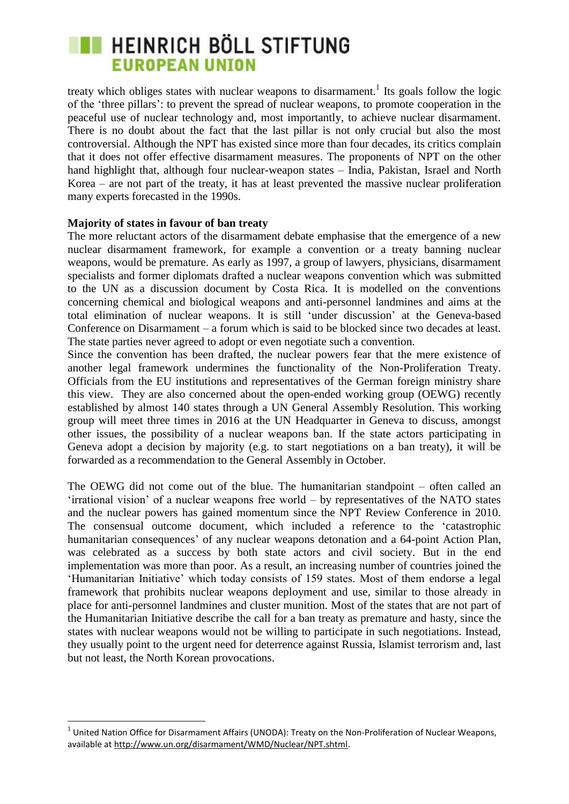treaty which obliges states with nuclear weapons to disarmament.<sup>1</sup> Its goals follow the logic of the "three pillars": to prevent the spread of nuclear weapons, to promote cooperation in the peaceful use of nuclear technology and, most importantly, to achieve nuclear disarmament. There is no doubt about the fact that the last pillar is not only crucial but also the most controversial. Although the NPT has existed since more than four decades, its critics complain that it does not offer effective disarmament measures. The proponents of NPT on the other hand highlight that, although four nuclear-weapon states – India, Pakistan, Israel and North Korea – are not part of the treaty, it has at least prevented the massive nuclear proliferation many experts forecasted in the 1990s.

#### **Majority of states in favour of ban treaty**

The more reluctant actors of the disarmament debate emphasise that the emergence of a new nuclear disarmament framework, for example a convention or a treaty banning nuclear weapons, would be premature. As early as 1997, a group of lawyers, physicians, disarmament specialists and former diplomats drafted a nuclear weapons convention which was submitted to the UN as a discussion document by Costa Rica. It is modelled on the conventions concerning chemical and biological weapons and anti-personnel landmines and aims at the total elimination of nuclear weapons. It is still "under discussion" at the Geneva-based Conference on Disarmament – a forum which is said to be blocked since two decades at least. The state parties never agreed to adopt or even negotiate such a convention.

Since the convention has been drafted, the nuclear powers fear that the mere existence of another legal framework undermines the functionality of the Non-Proliferation Treaty. Officials from the EU institutions and representatives of the German foreign ministry share this view. They are also concerned about the open-ended working group (OEWG) recently established by almost 140 states through a UN General Assembly Resolution. This working group will meet three times in 2016 at the UN Headquarter in Geneva to discuss, amongst other issues, the possibility of a nuclear weapons ban. If the state actors participating in Geneva adopt a decision by majority (e.g. to start negotiations on a ban treaty), it will be forwarded as a recommendation to the General Assembly in October.

The OEWG did not come out of the blue. The humanitarian standpoint – often called an  $'$ irrational vision' of a nuclear weapons free world – by representatives of the NATO states and the nuclear powers has gained momentum since the NPT Review Conference in 2010. The consensual outcome document, which included a reference to the "catastrophic humanitarian consequences' of any nuclear weapons detonation and a 64-point Action Plan, was celebrated as a success by both state actors and civil society. But in the end implementation was more than poor. As a result, an increasing number of countries joined the "Humanitarian Initiative" which today consists of 159 states. Most of them endorse a legal framework that prohibits nuclear weapons deployment and use, similar to those already in place for anti-personnel landmines and cluster munition. Most of the states that are not part of the Humanitarian Initiative describe the call for a ban treaty as premature and hasty, since the states with nuclear weapons would not be willing to participate in such negotiations. Instead, they usually point to the urgent need for deterrence against Russia, Islamist terrorism and, last but not least, the North Korean provocations.

 1 United Nation Office for Disarmament Affairs (UNODA): Treaty on the Non-Proliferation of Nuclear Weapons, available a[t http://www.un.org/disarmament/WMD/Nuclear/NPT.shtml.](http://www.un.org/disarmament/WMD/Nuclear/NPT.shtml)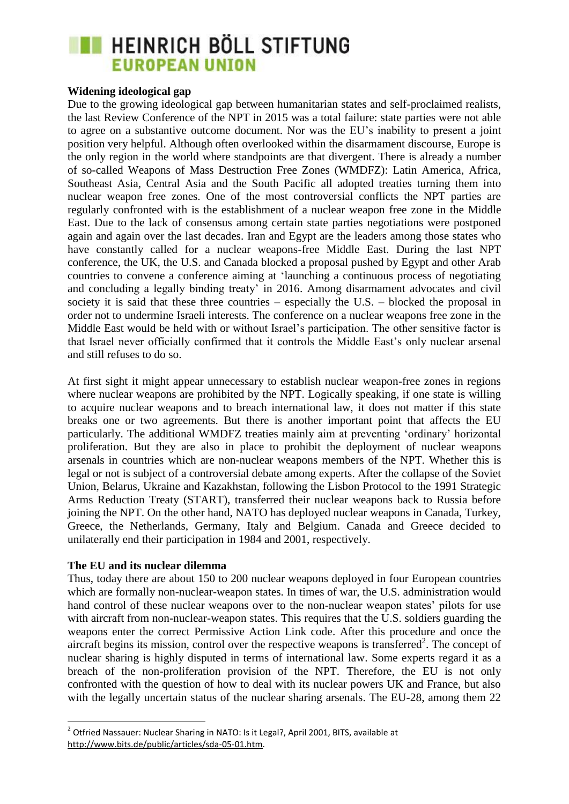#### **Widening ideological gap**

Due to the growing ideological gap between humanitarian states and self-proclaimed realists, the last Review Conference of the NPT in 2015 was a total failure: state parties were not able to agree on a substantive outcome document. Nor was the EU"s inability to present a joint position very helpful. Although often overlooked within the disarmament discourse, Europe is the only region in the world where standpoints are that divergent. There is already a number of so-called Weapons of Mass Destruction Free Zones (WMDFZ): Latin America, Africa, Southeast Asia, Central Asia and the South Pacific all adopted treaties turning them into nuclear weapon free zones. One of the most controversial conflicts the NPT parties are regularly confronted with is the establishment of a nuclear weapon free zone in the Middle East. Due to the lack of consensus among certain state parties negotiations were postponed again and again over the last decades. Iran and Egypt are the leaders among those states who have constantly called for a nuclear weapons-free Middle East. During the last NPT conference, the UK, the U.S. and Canada blocked a proposal pushed by Egypt and other Arab countries to convene a conference aiming at "launching a continuous process of negotiating and concluding a legally binding treaty' in 2016. Among disarmament advocates and civil society it is said that these three countries – especially the U.S. – blocked the proposal in order not to undermine Israeli interests. The conference on a nuclear weapons free zone in the Middle East would be held with or without Israel"s participation. The other sensitive factor is that Israel never officially confirmed that it controls the Middle East"s only nuclear arsenal and still refuses to do so.

At first sight it might appear unnecessary to establish nuclear weapon-free zones in regions where nuclear weapons are prohibited by the NPT. Logically speaking, if one state is willing to acquire nuclear weapons and to breach international law, it does not matter if this state breaks one or two agreements. But there is another important point that affects the EU particularly. The additional WMDFZ treaties mainly aim at preventing "ordinary" horizontal proliferation. But they are also in place to prohibit the deployment of nuclear weapons arsenals in countries which are non-nuclear weapons members of the NPT. Whether this is legal or not is subject of a controversial debate among experts. After the collapse of the Soviet Union, Belarus, Ukraine and Kazakhstan, following the Lisbon Protocol to the 1991 Strategic Arms Reduction Treaty (START), transferred their nuclear weapons back to Russia before joining the NPT. On the other hand, NATO has deployed nuclear weapons in Canada, Turkey, Greece, the Netherlands, Germany, Italy and Belgium. Canada and Greece decided to unilaterally end their participation in 1984 and 2001, respectively.

#### **The EU and its nuclear dilemma**

**.** 

Thus, today there are about 150 to 200 nuclear weapons deployed in four European countries which are formally non-nuclear-weapon states. In times of war, the U.S. administration would hand control of these nuclear weapons over to the non-nuclear weapon states' pilots for use with aircraft from non-nuclear-weapon states. This requires that the U.S. soldiers guarding the weapons enter the correct Permissive Action Link code. After this procedure and once the aircraft begins its mission, control over the respective weapons is transferred<sup>2</sup>. The concept of nuclear sharing is highly disputed in terms of international law. Some experts regard it as a breach of the non-proliferation provision of the NPT. Therefore, the EU is not only confronted with the question of how to deal with its nuclear powers UK and France, but also with the legally uncertain status of the nuclear sharing arsenals. The EU-28, among them 22

<sup>&</sup>lt;sup>2</sup> Otfried Nassauer: Nuclear Sharing in NATO: Is it Legal?, April 2001, BITS, available at [http://www.bits.de/public/articles/sda-05-01.htm.](http://www.bits.de/public/articles/sda-05-01.htm)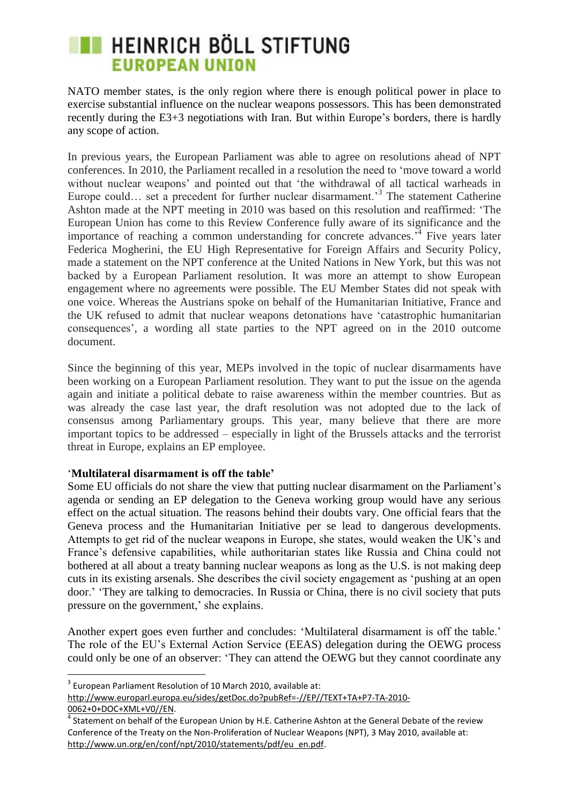NATO member states, is the only region where there is enough political power in place to exercise substantial influence on the nuclear weapons possessors. This has been demonstrated recently during the E3+3 negotiations with Iran. But within Europe's borders, there is hardly any scope of action.

In previous years, the European Parliament was able to agree on resolutions ahead of NPT conferences. In 2010, the Parliament recalled in a resolution the need to "move toward a world without nuclear weapons' and pointed out that 'the withdrawal of all tactical warheads in Europe could... set a precedent for further nuclear disarmament.<sup>3</sup> The statement Catherine Ashton made at the NPT meeting in 2010 was based on this resolution and reaffirmed: "The European Union has come to this Review Conference fully aware of its significance and the importance of reaching a common understanding for concrete advances.<sup>34</sup> Five years later Federica Mogherini, the EU High Representative for Foreign Affairs and Security Policy, made a statement on the NPT conference at the United Nations in New York, but this was not backed by a European Parliament resolution. It was more an attempt to show European engagement where no agreements were possible. The EU Member States did not speak with one voice. Whereas the Austrians spoke on behalf of the Humanitarian Initiative, France and the UK refused to admit that nuclear weapons detonations have "catastrophic humanitarian consequences", a wording all state parties to the NPT agreed on in the 2010 outcome document.

Since the beginning of this year, MEPs involved in the topic of nuclear disarmaments have been working on a European Parliament resolution. They want to put the issue on the agenda again and initiate a political debate to raise awareness within the member countries. But as was already the case last year, the draft resolution was not adopted due to the lack of consensus among Parliamentary groups. This year, many believe that there are more important topics to be addressed – especially in light of the Brussels attacks and the terrorist threat in Europe, explains an EP employee.

#### "**Multilateral disarmament is off the table'**

Some EU officials do not share the view that putting nuclear disarmament on the Parliament's agenda or sending an EP delegation to the Geneva working group would have any serious effect on the actual situation. The reasons behind their doubts vary. One official fears that the Geneva process and the Humanitarian Initiative per se lead to dangerous developments. Attempts to get rid of the nuclear weapons in Europe, she states, would weaken the UK"s and France"s defensive capabilities, while authoritarian states like Russia and China could not bothered at all about a treaty banning nuclear weapons as long as the U.S. is not making deep cuts in its existing arsenals. She describes the civil society engagement as "pushing at an open door." "They are talking to democracies. In Russia or China, there is no civil society that puts pressure on the government,' she explains.

Another expert goes even further and concludes: "Multilateral disarmament is off the table." The role of the EU"s External Action Service (EEAS) delegation during the OEWG process could only be one of an observer: "They can attend the OEWG but they cannot coordinate any

[http://www.europarl.europa.eu/sides/getDoc.do?pubRef=-//EP//TEXT+TA+P7-TA-2010-](http://www.europarl.europa.eu/sides/getDoc.do?pubRef=-//EP//TEXT+TA+P7-TA-2010-0062+0+DOC+XML+V0//EN) [0062+0+DOC+XML+V0//EN.](http://www.europarl.europa.eu/sides/getDoc.do?pubRef=-//EP//TEXT+TA+P7-TA-2010-0062+0+DOC+XML+V0//EN)

**<sup>.</sup>**  $3$  European Parliament Resolution of 10 March 2010, available at:

<sup>&</sup>lt;sup>4</sup> Statement on behalf of the European Union by H.E. Catherine Ashton at the General Debate of the review Conference of the Treaty on the Non-Proliferation of Nuclear Weapons (NPT), 3 May 2010, available at: [http://www.un.org/en/conf/npt/2010/statements/pdf/eu\\_en.pdf.](http://www.un.org/en/conf/npt/2010/statements/pdf/eu_en.pdf)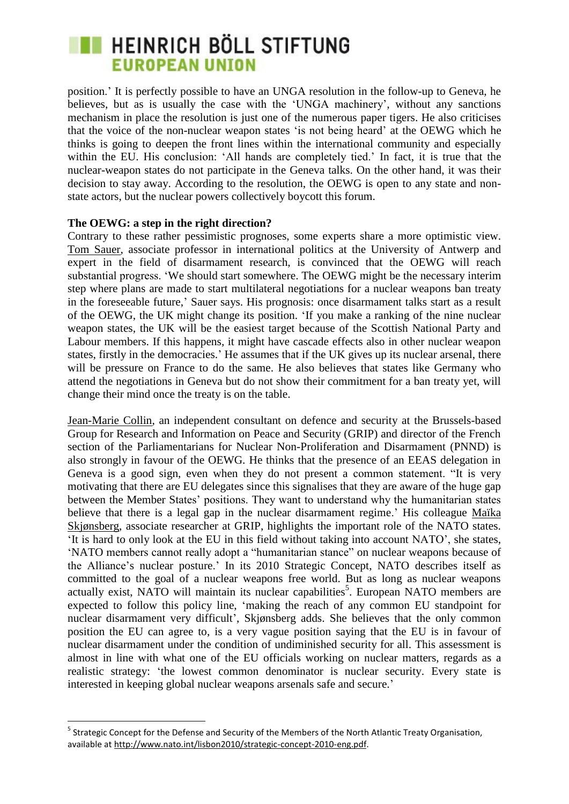position." It is perfectly possible to have an UNGA resolution in the follow-up to Geneva, he believes, but as is usually the case with the "UNGA machinery", without any sanctions mechanism in place the resolution is just one of the numerous paper tigers. He also criticises that the voice of the non-nuclear weapon states "is not being heard" at the OEWG which he thinks is going to deepen the front lines within the international community and especially within the EU. His conclusion: 'All hands are completely tied.' In fact, it is true that the nuclear-weapon states do not participate in the Geneva talks. On the other hand, it was their decision to stay away. According to the resolution, the OEWG is open to any state and nonstate actors, but the nuclear powers collectively boycott this forum.

#### **The OEWG: a step in the right direction?**

**.** 

Contrary to these rather pessimistic prognoses, some experts share a more optimistic view. Tom Sauer, associate professor in international politics at the University of Antwerp and expert in the field of disarmament research, is convinced that the OEWG will reach substantial progress. "We should start somewhere. The OEWG might be the necessary interim step where plans are made to start multilateral negotiations for a nuclear weapons ban treaty in the foreseeable future," Sauer says. His prognosis: once disarmament talks start as a result of the OEWG, the UK might change its position. "If you make a ranking of the nine nuclear weapon states, the UK will be the easiest target because of the Scottish National Party and Labour members. If this happens, it might have cascade effects also in other nuclear weapon states, firstly in the democracies.' He assumes that if the UK gives up its nuclear arsenal, there will be pressure on France to do the same. He also believes that states like Germany who attend the negotiations in Geneva but do not show their commitment for a ban treaty yet, will change their mind once the treaty is on the table.

Jean-Marie Collin, an independent consultant on defence and security at the Brussels-based Group for Research and Information on Peace and Security (GRIP) and director of the French section of the Parliamentarians for Nuclear Non-Proliferation and Disarmament (PNND) is also strongly in favour of the OEWG. He thinks that the presence of an EEAS delegation in Geneva is a good sign, even when they do not present a common statement. "It is very motivating that there are EU delegates since this signalises that they are aware of the huge gap between the Member States' positions. They want to understand why the humanitarian states believe that there is a legal gap in the nuclear disarmament regime.' His colleague Maïka Skjønsberg, associate researcher at GRIP, highlights the important role of the NATO states. "It is hard to only look at the EU in this field without taking into account NATO", she states, "NATO members cannot really adopt a "humanitarian stance" on nuclear weapons because of the Alliance"s nuclear posture." In its 2010 Strategic Concept, NATO describes itself as committed to the goal of a nuclear weapons free world. But as long as nuclear weapons actually exist, NATO will maintain its nuclear capabilities<sup>5</sup>. European NATO members are expected to follow this policy line, "making the reach of any common EU standpoint for nuclear disarmament very difficult", Skjønsberg adds. She believes that the only common position the EU can agree to, is a very vague position saying that the EU is in favour of nuclear disarmament under the condition of undiminished security for all. This assessment is almost in line with what one of the EU officials working on nuclear matters, regards as a realistic strategy: "the lowest common denominator is nuclear security. Every state is interested in keeping global nuclear weapons arsenals safe and secure.'

<sup>&</sup>lt;sup>5</sup> Strategic Concept for the Defense and Security of the Members of the North Atlantic Treaty Organisation, available a[t http://www.nato.int/lisbon2010/strategic-concept-2010-eng.pdf.](http://www.nato.int/lisbon2010/strategic-concept-2010-eng.pdf)